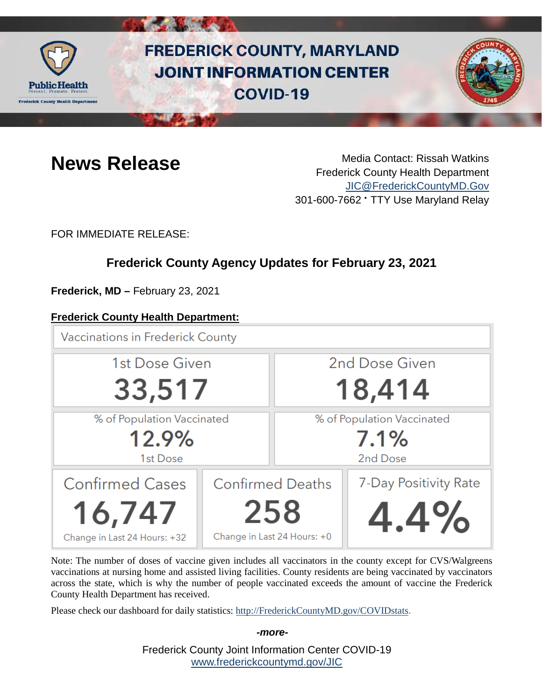

# **FREDERICK COUNTY, MARYLAND JOINT INFORMATION CENTER COVID-19**



**News Release** Media Contact: Rissah Watkins Frederick County Health Department [JIC@FrederickCountyMD.Gov](mailto:JIC@FrederickCountyMD.Gov) 301-600-7662 • TTY Use Maryland Relay

FOR IMMEDIATE RELEASE:

# **Frederick County Agency Updates for February 23, 2021**

**Frederick, MD –** February 23, 2021

#### **Frederick County Health Department:**

**Vaccinations in Frederick County** 2nd Dose Given 1st Dose Given 33,517 18,414 % of Population Vaccinated % of Population Vaccinated 12.9%  $7.1%$ 1st Dose 2nd Dose Confirmed Cases **Confirmed Deaths** 7-Day Positivity Rate 258 16,747 4.4% Change in Last 24 Hours: +0 Change in Last 24 Hours: +32

Note: The number of doses of vaccine given includes all vaccinators in the county except for CVS/Walgreens vaccinations at nursing home and assisted living facilities. County residents are being vaccinated by vaccinators across the state, which is why the number of people vaccinated exceeds the amount of vaccine the Frederick County Health Department has received.

Please check our dashboard for daily statistics: [http://FrederickCountyMD.gov/COVIDstats.](http://frederickcountymd.gov/COVIDstats)

*-more-*

Frederick County Joint Information Center COVID-19 [www.frederickcountymd.gov/JIC](https://frederickcountymd.gov/JIC)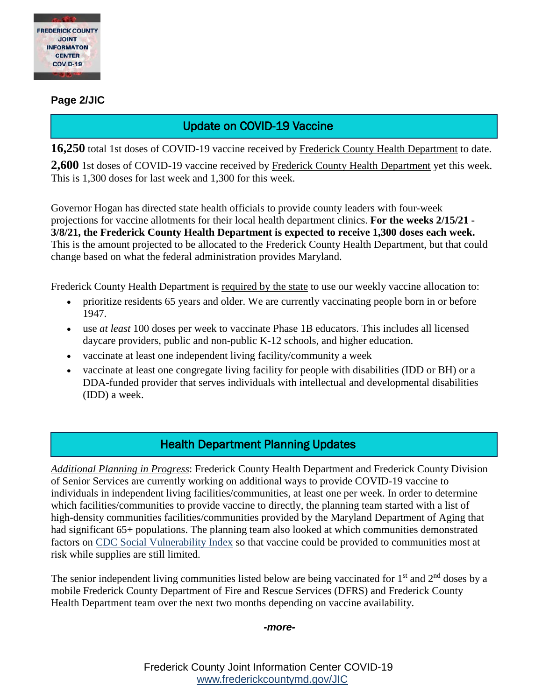

#### **Page 2/JIC**

### Update on COVID-19 Vaccine

16,250 total 1st doses of COVID-19 vaccine received by Frederick County Health Department to date.

**2,600** 1st doses of COVID-19 vaccine received by Frederick County Health Department yet this week. This is 1,300 doses for last week and 1,300 for this week.

Governor Hogan has directed state health officials to provide county leaders with four-week projections for vaccine allotments for their local health department clinics. **For the weeks 2/15/21 - 3/8/21, the Frederick County Health Department is expected to receive 1,300 doses each week.** This is the amount projected to be allocated to the Frederick County Health Department, but that could change based on what the federal administration provides Maryland.

Frederick County Health Department is required by the state to use our weekly vaccine allocation to:

- prioritize residents 65 years and older. We are currently vaccinating people born in or before 1947.
- use *at least* 100 doses per week to vaccinate Phase 1B educators. This includes all licensed daycare providers, public and non-public K-12 schools, and higher education.
- vaccinate at least one independent living facility/community a week
- vaccinate at least one congregate living facility for people with disabilities (IDD or BH) or a DDA-funded provider that serves individuals with intellectual and developmental disabilities (IDD) a week.

#### Health Department Planning Updates

*Additional Planning in Progress*: Frederick County Health Department and Frederick County Division of Senior Services are currently working on additional ways to provide COVID-19 vaccine to individuals in independent living facilities/communities, at least one per week. In order to determine which facilities/communities to provide vaccine to directly, the planning team started with a list of high-density communities facilities/communities provided by the Maryland Department of Aging that had significant 65+ populations. The planning team also looked at which communities demonstrated factors on [CDC Social Vulnerability Index](https://www.atsdr.cdc.gov/placeandhealth/svi/index.html) so that vaccine could be provided to communities most at risk while supplies are still limited.

The senior independent living communities listed below are being vaccinated for  $1<sup>st</sup>$  and  $2<sup>nd</sup>$  doses by a mobile Frederick County Department of Fire and Rescue Services (DFRS) and Frederick County Health Department team over the next two months depending on vaccine availability.

#### *-more-*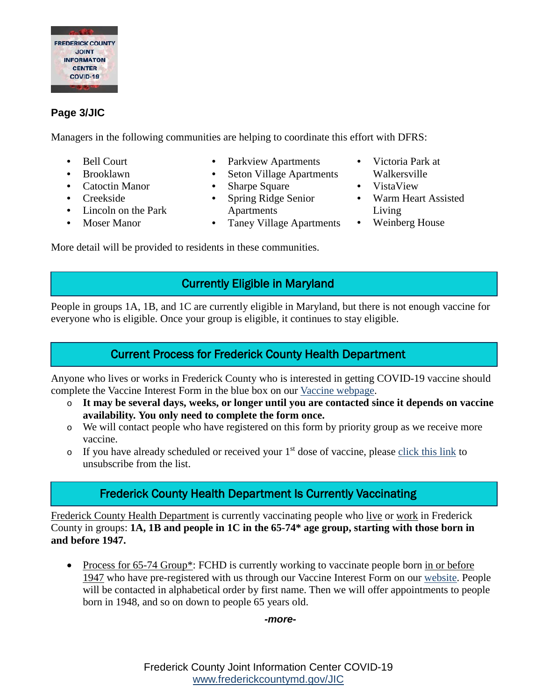

#### **Page 3/JIC**

Managers in the following communities are helping to coordinate this effort with DFRS:

- Bell Court
- Brooklawn
- Catoctin Manor
- Creekside
- Lincoln on the Park
- Moser Manor
- Parkview Apartments
- Seton Village Apartments
- Sharpe Square
- Spring Ridge Senior Apartments
- Taney Village Apartments
- Victoria Park at Walkersville
- VistaView
- Warm Heart Assisted Living
- Weinberg House

More detail will be provided to residents in these communities.

# Currently Eligible in Maryland

People in groups 1A, 1B, and 1C are currently eligible in Maryland, but there is not enough vaccine for everyone who is eligible. Once your group is eligible, it continues to stay eligible.

# Current Process for Frederick County Health Department

Anyone who lives or works in Frederick County who is interested in getting COVID-19 vaccine should complete the Vaccine Interest Form in the blue box on our [Vaccine webpage.](https://health.frederickcountymd.gov/629/COVID-19-Vaccine)

- o **It may be several days, weeks, or longer until you are contacted since it depends on vaccine availability. You only need to complete the form once.**
- o We will contact people who have registered on this form by priority group as we receive more vaccine.
- $\circ$  If you have already scheduled or received your 1<sup>st</sup> dose of vaccine, please [click this link](https://forms.office.com/Pages/ResponsePage.aspx?id=LTTGSAY4Q0id7GpAsbuHNwWNYN1Yz5tBp0XTFg0s7vVUQzg2UFZYWVEzOThNVUtWRkpYSjNOUlBSUCQlQCN0PWcu) to unsubscribe from the list.

# Frederick County Health Department Is Currently Vaccinating

Frederick County Health Department is currently vaccinating people who live or work in Frederick County in groups: **1A, 1B and people in 1C in the 65-74\* age group, starting with those born in and before 1947.**

• Process for 65-74 Group\*: FCHD is currently working to vaccinate people born in or before 1947 who have pre-registered with us through our Vaccine Interest Form on our [website.](https://health.frederickcountymd.gov/629/COVID-19-Vaccine) People will be contacted in alphabetical order by first name. Then we will offer appointments to people born in 1948, and so on down to people 65 years old.

#### *-more-*